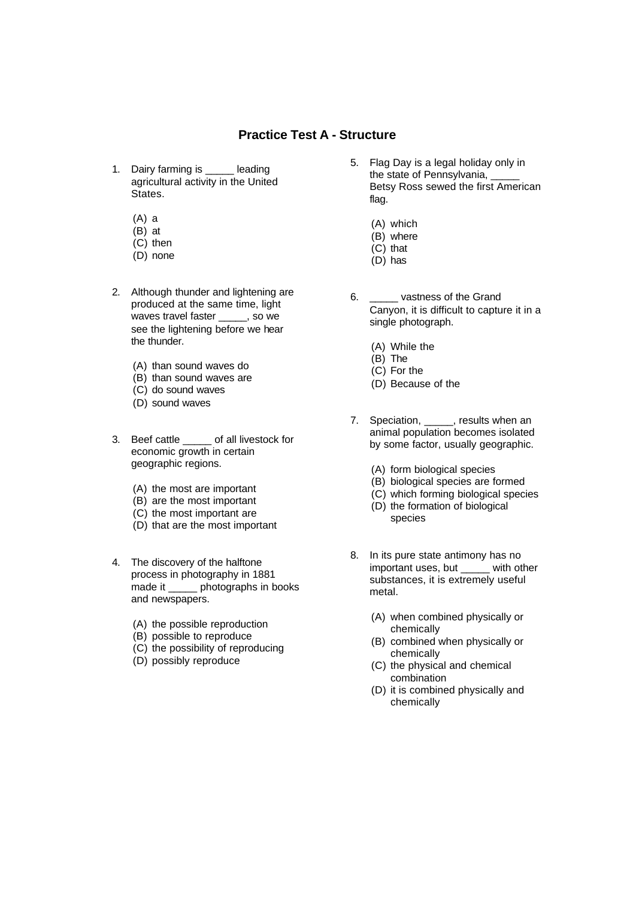## **Practice Test A - Structure**

- 1. Dairy farming is \_\_\_\_\_ leading agricultural activity in the United States.
	- (A) a
	- (B) at
	- (C) then
	- (D) none
- 2. Although thunder and lightening are produced at the same time, light waves travel faster \_\_\_\_\_, so we see the lightening before we hear the thunder.
	- (A) than sound waves do
	- (B) than sound waves are
	- (C) do sound waves
	- (D) sound waves
- 3. Beef cattle \_\_\_\_\_ of all livestock for economic growth in certain geographic regions.
	- (A) the most are important
	- (B) are the most important
	- (C) the most important are
	- (D) that are the most important
- 4. The discovery of the halftone process in photography in 1881 made it \_\_\_\_\_ photographs in books and newspapers.
	- (A) the possible reproduction
	- (B) possible to reproduce
	- (C) the possibility of reproducing
	- (D) possibly reproduce
- 5. Flag Day is a legal holiday only in the state of Pennsylvania, Betsy Ross sewed the first American flag.
	- (A) which
	- (B) where
	- (C) that
	- (D) has
- 6. \_\_\_\_\_ vastness of the Grand Canyon, it is difficult to capture it in a single photograph.
	- (A) While the
	- $(B)$  The
	- (C) For the
	- (D) Because of the
- 7. Speciation, \_\_\_\_\_, results when an animal population becomes isolated by some factor, usually geographic.
	- (A) form biological species
	- (B) biological species are formed
	- (C) which forming biological species
	- (D) the formation of biological
		- species
- 8. In its pure state antimony has no important uses, but with other substances, it is extremely useful metal.
	- (A) when combined physically or chemically
	- (B) combined when physically or chemically
	- (C) the physical and chemical combination
	- (D) it is combined physically and chemically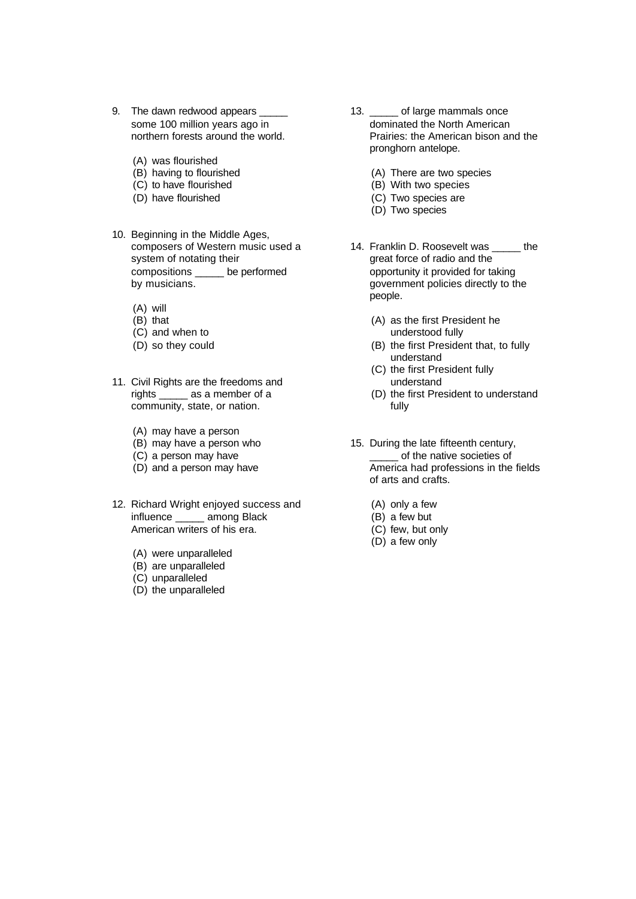- 9. The dawn redwood appears \_ some 100 million years ago in northern forests around the world.
	- (A) was flourished
	- (B) having to flourished
	- (C) to have flourished
	- (D) have flourished
- 10. Beginning in the Middle Ages, composers of Western music used a system of notating their compositions \_\_\_\_\_ be performed by musicians.
	- (A) will
	- (B) that
	- (C) and when to
	- (D) so they could
- 11. Civil Rights are the freedoms and rights \_\_\_\_\_ as a member of a community, state, or nation.
	- (A) may have a person
	- (B) may have a person who
	- (C) a person may have
	- (D) and a person may have
- 12. Richard Wright enjoyed success and influence \_\_\_\_\_ among Black American writers of his era.
	- (A) were unparalleled
	- (B) are unparalleled
	- (C) unparalleled
	- (D) the unparalleled
- 13. \_\_\_\_\_ of large mammals once dominated the North American Prairies: the American bison and the pronghorn antelope.
	- (A) There are two species
	- (B) With two species
	- (C) Two species are
	- (D) Two species
- 14. Franklin D. Roosevelt was \_\_\_\_\_ the great force of radio and the opportunity it provided for taking government policies directly to the people.
	- (A) as the first President he understood fully
	- (B) the first President that, to fully understand
	- (C) the first President fully understand
	- (D) the first President to understand fully
- 15. During the late fifteenth century, \_\_\_\_\_ of the native societies of America had professions in the fields of arts and crafts.
	- (A) only a few
	- (B) a few but
	- (C) few, but only
	- (D) a few only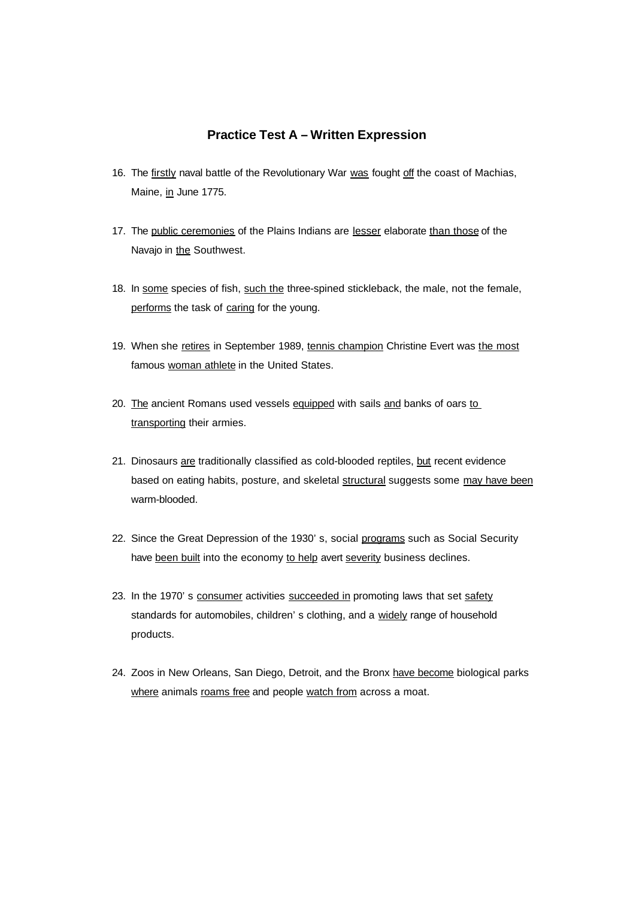## **Practice Test A – Written Expression**

- 16. The firstly naval battle of the Revolutionary War was fought off the coast of Machias, Maine, in June 1775.
- 17. The public ceremonies of the Plains Indians are lesser elaborate than those of the Navajo in the Southwest.
- 18. In some species of fish, such the three-spined stickleback, the male, not the female, performs the task of caring for the young.
- 19. When she retires in September 1989, tennis champion Christine Evert was the most famous woman athlete in the United States.
- 20. The ancient Romans used vessels equipped with sails and banks of oars to transporting their armies.
- 21. Dinosaurs are traditionally classified as cold-blooded reptiles, but recent evidence based on eating habits, posture, and skeletal structural suggests some may have been warm-blooded.
- 22. Since the Great Depression of the 1930's, social programs such as Social Security have been built into the economy to help avert severity business declines.
- 23. In the 1970's consumer activities succeeded in promoting laws that set safety standards for automobiles, children's clothing, and a widely range of household products.
- 24. Zoos in New Orleans, San Diego, Detroit, and the Bronx have become biological parks where animals roams free and people watch from across a moat.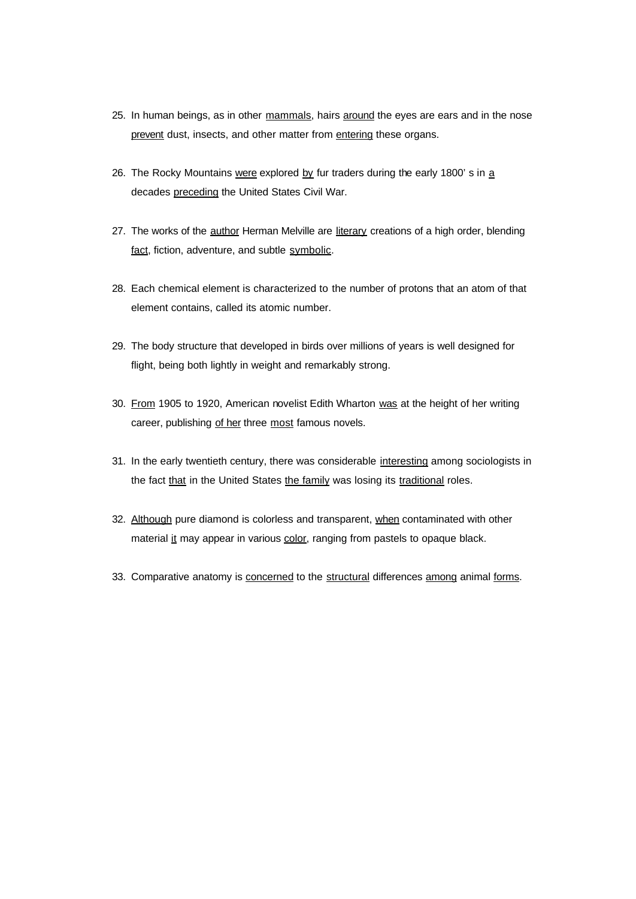- 25. In human beings, as in other mammals, hairs around the eyes are ears and in the nose prevent dust, insects, and other matter from entering these organs.
- 26. The Rocky Mountains were explored by fur traders during the early 1800's in a decades preceding the United States Civil War.
- 27. The works of the author Herman Melville are literary creations of a high order, blending fact, fiction, adventure, and subtle symbolic.
- 28. Each chemical element is characterized to the number of protons that an atom of that element contains, called its atomic number.
- 29. The body structure that developed in birds over millions of years is well designed for flight, being both lightly in weight and remarkably strong.
- 30. From 1905 to 1920, American novelist Edith Wharton was at the height of her writing career, publishing of her three most famous novels.
- 31. In the early twentieth century, there was considerable interesting among sociologists in the fact that in the United States the family was losing its traditional roles.
- 32. Although pure diamond is colorless and transparent, when contaminated with other material it may appear in various color, ranging from pastels to opaque black.
- 33. Comparative anatomy is concerned to the structural differences among animal forms.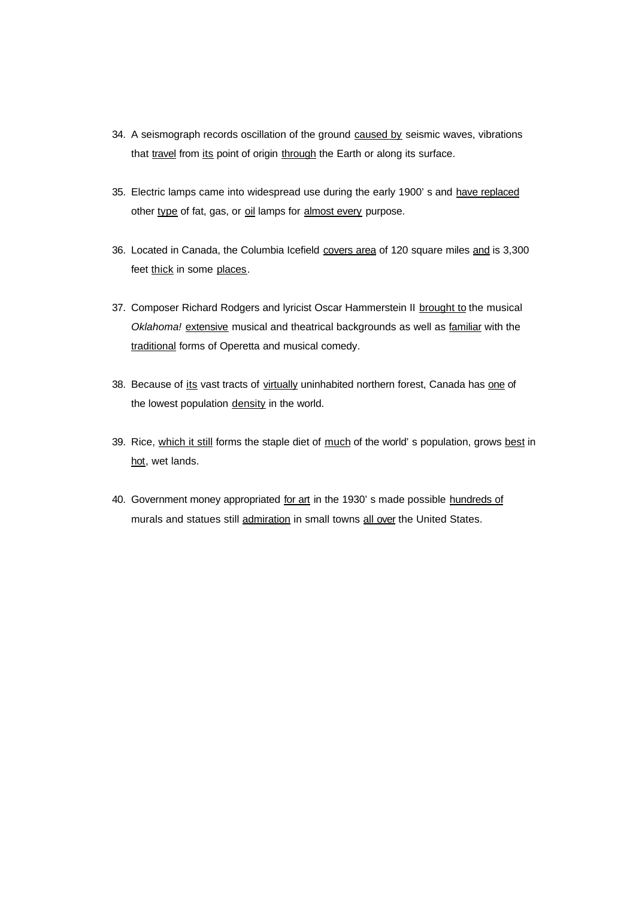- 34. A seismograph records oscillation of the ground caused by seismic waves, vibrations that travel from its point of origin through the Earth or along its surface.
- 35. Electric lamps came into widespread use during the early 1900's and have replaced other type of fat, gas, or oil lamps for almost every purpose.
- 36. Located in Canada, the Columbia Icefield covers area of 120 square miles and is 3,300 feet thick in some places.
- 37. Composer Richard Rodgers and lyricist Oscar Hammerstein II brought to the musical Oklahoma! extensive musical and theatrical backgrounds as well as familiar with the traditional forms of Operetta and musical comedy.
- 38. Because of its vast tracts of virtually uninhabited northern forest, Canada has one of the lowest population density in the world.
- 39. Rice, which it still forms the staple diet of much of the world' s population, grows best in hot, wet lands.
- 40. Government money appropriated for art in the 1930's made possible hundreds of murals and statues still admiration in small towns all over the United States.